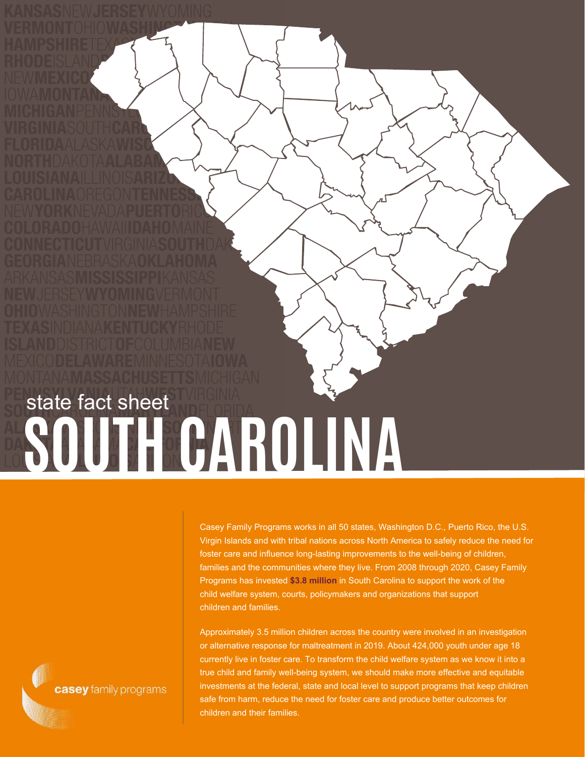## **SOUTH CAROLINA** state fact sheet

Casey Family Programs works in all 50 states, Washington D.C., Puerto Rico, the U.S. Virgin Islands and with tribal nations across North America to safely reduce the need for foster care and influence long-lasting improvements to the well-being of children, families and the communities where they live. From 2008 through 2020, Casey Family Programs has invested **\$3.8 million** in South Carolina to support the work of the child welfare system, courts, policymakers and organizations that support children and families.

Approximately 3.5 million children across the country were involved in an investigation or alternative response for maltreatment in 2019. About 424,000 youth under age 18 currently live in foster care. To transform the child welfare system as we know it into a true child and family well-being system, we should make more effective and equitable investments at the federal, state and local level to support programs that keep children safe from harm, reduce the need for foster care and produce better outcomes for children and their families.

casey family programs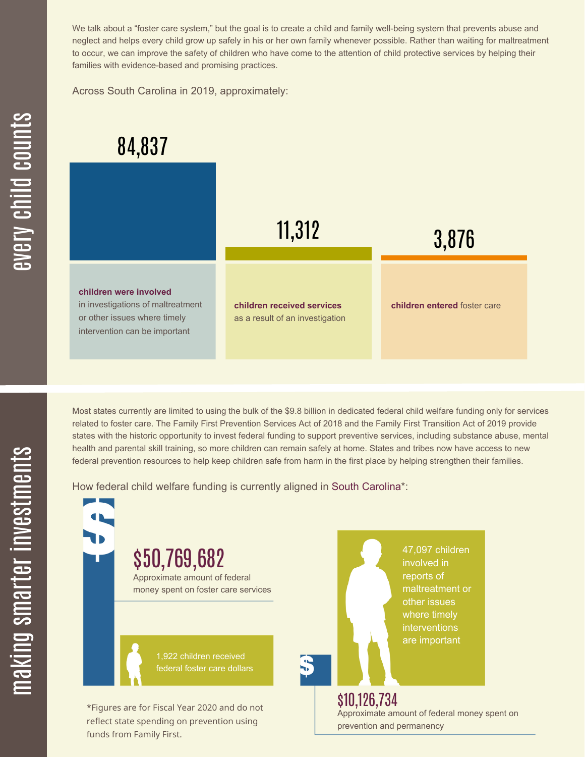We talk about a "foster care system," but the goal is to create a child and family well-being system that prevents abuse and neglect and helps every child grow up safely in his or her own family whenever possible. Rather than waiting for maltreatment to occur, we can improve the safety of children who have come to the attention of child protective services by helping their families with evidence-based and promising practices.

Across South Carolina in 2019, approximately:



Most states currently are limited to using the bulk of the \$9.8 billion in dedicated federal child welfare funding only for services related to foster care. The Family First Prevention Services Act of 2018 and the Family First Transition Act of 2019 provide states with the historic opportunity to invest federal funding to support preventive services, including substance abuse, mental health and parental skill training, so more children can remain safely at home. States and tribes now have access to new federal prevention resources to help keep children safe from harm in the first place by helping strengthen their families.

How federal child welfare funding is currently aligned in South Carolina\*:

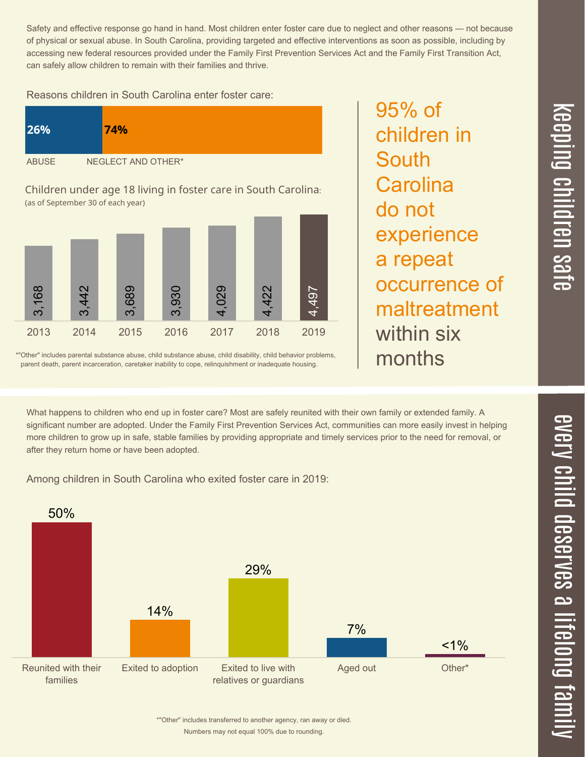Safety and effective response go hand in hand. Most children enter foster care due to neglect and other reasons — not because of physical or sexual abuse. In South Carolina, providing targeted and effective interventions as soon as possible, including by accessing new federal resources provided under the Family First Prevention Services Act and the Family First Transition Act, can safely allow children to remain with their families and thrive.

Reasons children in South Carolina enter foster care:

| <b>26%</b>   | 74%                |
|--------------|--------------------|
| <b>ABUSE</b> | NEGLECT AND OTHER* |

Children under age 18 living in foster care in South Carolina: (as of September 30 of each year)



\*"Other" includes parental substance abuse, child substance abuse, child disability, child behavior problems, parent death, parent incarceration, caretaker inability to cope, relinquishment or inadequate housing.

95% of children in **South Carolina** do not experience a repeat occurrence of maltreatment within six months

What happens to children who end up in foster care? Most are safely reunited with their own family or extended family. A significant number are adopted. Under the Family First Prevention Services Act, communities can more easily invest in helping more children to grow up in safe, stable families by providing appropriate and timely services prior to the need for removal, or after they return home or have been adopted.

Among children in South Carolina who exited foster care in 2019: